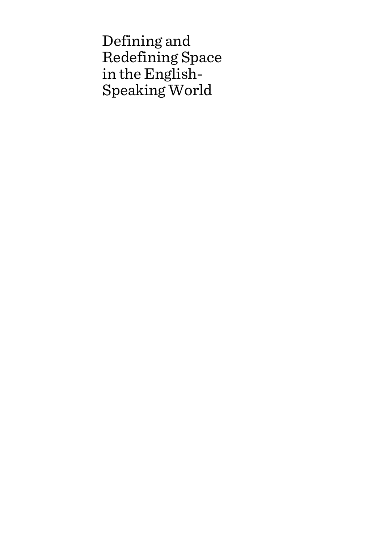Defining and Redefining Space in the English-Speaking World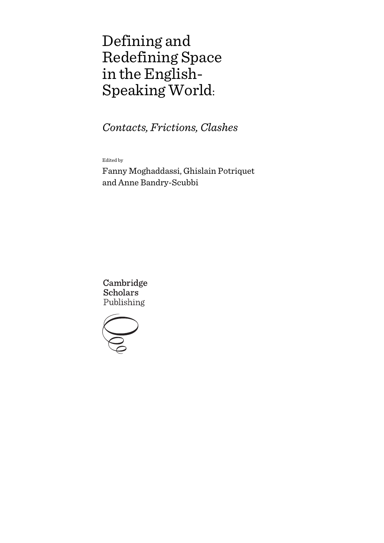# Defining and Redefining Space in the English-Speaking World:

*Contacts, Frictions, Clashes*

Edited by

Fanny Moghaddassi, Ghislain Potriquet and Anne Bandry-Scubbi

Cambridge **Scholars** Publishing

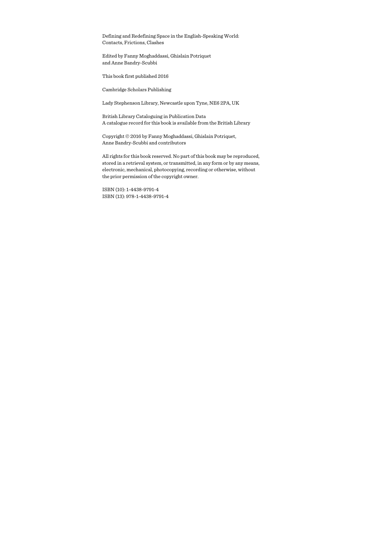Defining and Redefining Space in the English-Speaking World: Contacts, Frictions, Clashes

Edited by Fanny Moghaddassi, Ghislain Potriquet and Anne Bandry-Scubbi

This book first published 2016

Cambridge Scholars Publishing

Lady Stephenson Library, Newcastle upon Tyne, NE6 2PA, UK

British Library Cataloguing in Publication Data A catalogue record for this book is available from the British Library

Copyright © 2016 by Fanny Moghaddassi, Ghislain Potriquet, Anne Bandry-Scubbi and contributors

All rights for this book reserved. No part of this book may be reproduced, stored in a retrieval system, or transmitted, in any form or by any means, electronic, mechanical, photocopying, recording or otherwise, without the prior permission of the copyright owner.

ISBN (10): 1-4438-9791-4 ISBN (13): 978-1-4438-9791-4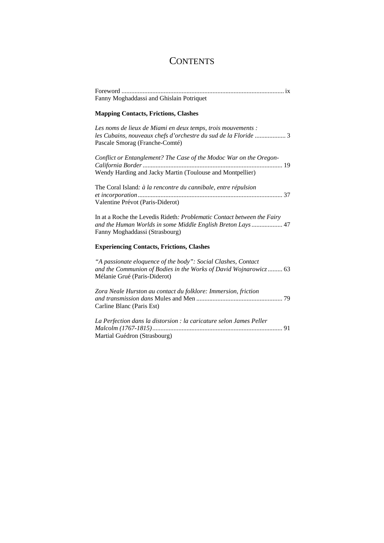## **CONTENTS**

| Fanny Moghaddassi and Ghislain Potriquet                                                                                                                                 |
|--------------------------------------------------------------------------------------------------------------------------------------------------------------------------|
| <b>Mapping Contacts, Frictions, Clashes</b>                                                                                                                              |
| Les noms de lieux de Miami en deux temps, trois mouvements :<br>les Cubains, nouveaux chefs d'orchestre du sud de la Floride  3<br>Pascale Smorag (Franche-Comté)        |
| Conflict or Entanglement? The Case of the Modoc War on the Oregon-<br>Wendy Harding and Jacky Martin (Toulouse and Montpellier)                                          |
| The Coral Island: à la rencontre du cannibale, entre répulsion<br>Valentine Prévot (Paris-Diderot)                                                                       |
| In at a Roche the Levedis Rideth: Problematic Contact between the Fairy<br>and the Human Worlds in some Middle English Breton Lays  47<br>Fanny Moghaddassi (Strasbourg) |
| <b>Experiencing Contacts, Frictions, Clashes</b>                                                                                                                         |
| "A passionate eloquence of the body": Social Clashes, Contact<br>and the Communion of Bodies in the Works of David Wojnarowicz 63<br>Mélanie Grué (Paris-Diderot)        |
| Zora Neale Hurston au contact du folklore: Immersion, friction<br>Carline Blanc (Paris Est)                                                                              |
| La Perfection dans la distorsion : la caricature selon James Peller<br>Martial Guédron (Strasbourg)                                                                      |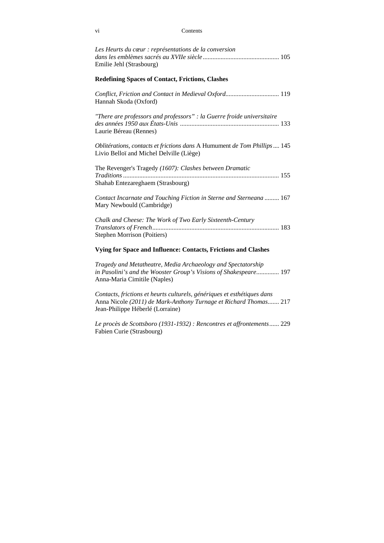#### vi Contents

| Les Heurts du cœur : représentations de la conversion<br>Emilie Jehl (Strasbourg)                                                                                |
|------------------------------------------------------------------------------------------------------------------------------------------------------------------|
| <b>Redefining Spaces of Contact, Frictions, Clashes</b>                                                                                                          |
| Conflict, Friction and Contact in Medieval Oxford 119<br>Hannah Skoda (Oxford)                                                                                   |
| "There are professors and professors" : la Guerre froide universitaire<br>Laurie Béreau (Rennes)                                                                 |
| Oblitérations, contacts et frictions dans A Humument de Tom Phillips 145<br>Livio Belloï and Michel Delville (Liège)                                             |
| The Revenger's Tragedy (1607): Clashes between Dramatic<br>Shahab Entezareghaem (Strasbourg)                                                                     |
| Contact Incarnate and Touching Fiction in Sterne and Sterneana  167<br>Mary Newbould (Cambridge)                                                                 |
| Chalk and Cheese: The Work of Two Early Sixteenth-Century<br><b>Stephen Morrison (Poitiers)</b>                                                                  |
| Vying for Space and Influence: Contacts, Frictions and Clashes                                                                                                   |
| Tragedy and Metatheatre, Media Archaeology and Spectatorship<br>in Pasolini's and the Wooster Group's Visions of Shakespeare 197<br>Anna-Maria Cimitile (Naples) |
|                                                                                                                                                                  |

*Contacts, frictions et heurts culturels, génériques et esthétiques dans*  Anna Nicole *(2011) de Mark-Anthony Turnage et Richard Thomas .......* 217 Jean-Philippe Héberlé (Lorraine)

*Le procès de Scottsboro (1931-1932) : Rencontres et affrontements ......* 229 Fabien Curie (Strasbourg)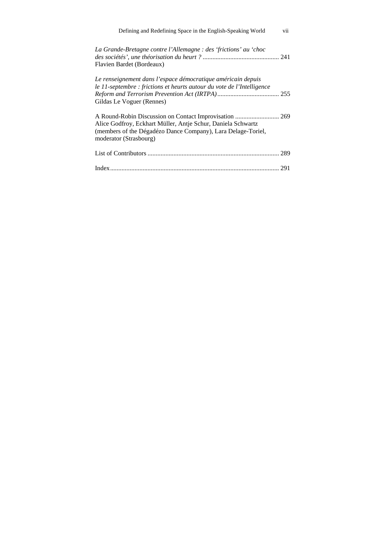| Defining and Redefining Space in the English-Speaking World                                                                                                         | vii |
|---------------------------------------------------------------------------------------------------------------------------------------------------------------------|-----|
| La Grande-Bretagne contre l'Allemagne : des 'frictions' au 'choc<br>Flavien Bardet (Bordeaux)                                                                       |     |
| Le renseignement dans l'espace démocratique américain depuis<br>le 11-septembre : frictions et heurts autour du vote de l'Intelligence<br>Gildas Le Voguer (Rennes) |     |
| Alice Godfroy, Eckhart Müller, Antje Schur, Daniela Schwartz<br>(members of the Dégadézo Dance Company), Lara Delage-Toriel,<br>moderator (Strasbourg)              |     |
|                                                                                                                                                                     | 289 |
|                                                                                                                                                                     | 291 |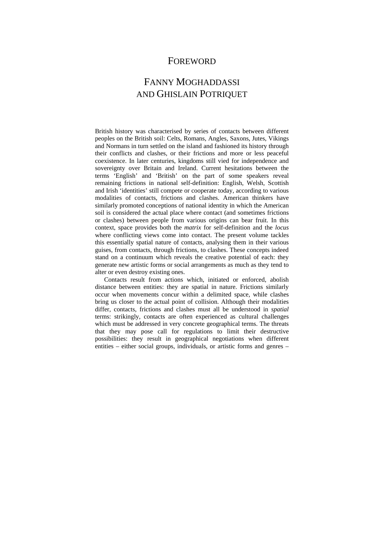### FOREWORD

## FANNY MOGHADDASSI AND GHISLAIN POTRIQUET

British history was characterised by series of contacts between different peoples on the British soil: Celts, Romans, Angles, Saxons, Jutes, Vikings and Normans in turn settled on the island and fashioned its history through their conflicts and clashes, or their frictions and more or less peaceful coexistence. In later centuries, kingdoms still vied for independence and sovereignty over Britain and Ireland. Current hesitations between the terms 'English' and 'British' on the part of some speakers reveal remaining frictions in national self-definition: English, Welsh, Scottish and Irish 'identities' still compete or cooperate today, according to various modalities of contacts, frictions and clashes. American thinkers have similarly promoted conceptions of national identity in which the American soil is considered the actual place where contact (and sometimes frictions or clashes) between people from various origins can bear fruit. In this context, space provides both the *matrix* for self-definition and the *locus* where conflicting views come into contact. The present volume tackles this essentially spatial nature of contacts, analysing them in their various guises, from contacts, through frictions, to clashes. These concepts indeed stand on a continuum which reveals the creative potential of each: they generate new artistic forms or social arrangements as much as they tend to alter or even destroy existing ones.

Contacts result from actions which, initiated or enforced, abolish distance between entities: they are spatial in nature. Frictions similarly occur when movements concur within a delimited space, while clashes bring us closer to the actual point of collision. Although their modalities differ, contacts, frictions and clashes must all be understood in *spatial* terms: strikingly, contacts are often experienced as cultural challenges which must be addressed in very concrete geographical terms. The threats that they may pose call for regulations to limit their destructive possibilities: they result in geographical negotiations when different entities – either social groups, individuals, or artistic forms and genres –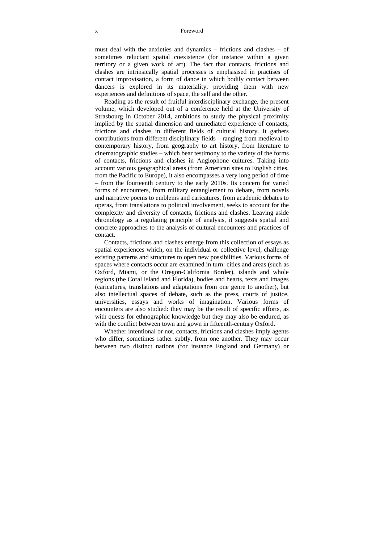#### x Foreword

must deal with the anxieties and dynamics – frictions and clashes – of sometimes reluctant spatial coexistence (for instance within a given territory or a given work of art). The fact that contacts, frictions and clashes are intrinsically spatial processes is emphasised in practises of contact improvisation, a form of dance in which bodily contact between dancers is explored in its materiality, providing them with new experiences and definitions of space, the self and the other.

Reading as the result of fruitful interdisciplinary exchange, the present volume, which developed out of a conference held at the University of Strasbourg in October 2014, ambitions to study the physical proximity implied by the spatial dimension and unmediated experience of contacts, frictions and clashes in different fields of cultural history. It gathers contributions from different disciplinary fields – ranging from medieval to contemporary history, from geography to art history, from literature to cinematographic studies – which bear testimony to the variety of the forms of contacts, frictions and clashes in Anglophone cultures. Taking into account various geographical areas (from American sites to English cities, from the Pacific to Europe), it also encompasses a very long period of time – from the fourteenth century to the early 2010s. Its concern for varied forms of encounters, from military entanglement to debate, from novels and narrative poems to emblems and caricatures, from academic debates to operas, from translations to political involvement, seeks to account for the complexity and diversity of contacts, frictions and clashes. Leaving aside chronology as a regulating principle of analysis, it suggests spatial and concrete approaches to the analysis of cultural encounters and practices of contact.

Contacts, frictions and clashes emerge from this collection of essays as spatial experiences which, on the individual or collective level, challenge existing patterns and structures to open new possibilities. Various forms of spaces where contacts occur are examined in turn: cities and areas (such as Oxford, Miami, or the Oregon-California Border), islands and whole regions (the Coral Island and Florida), bodies and hearts, texts and images (caricatures, translations and adaptations from one genre to another), but also intellectual spaces of debate, such as the press, courts of justice, universities, essays and works of imagination. Various forms of encounters are also studied: they may be the result of specific efforts, as with quests for ethnographic knowledge but they may also be endured, as with the conflict between town and gown in fifteenth-century Oxford.

Whether intentional or not, contacts, frictions and clashes imply agents who differ, sometimes rather subtly, from one another. They may occur between two distinct nations (for instance England and Germany) or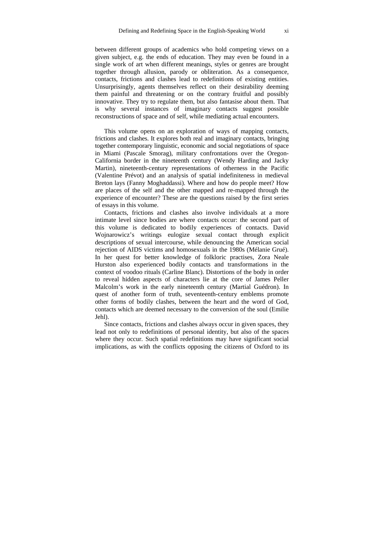between different groups of academics who hold competing views on a given subject, e.g. the ends of education. They may even be found in a single work of art when different meanings, styles or genres are brought together through allusion, parody or obliteration. As a consequence, contacts, frictions and clashes lead to redefinitions of existing entities. Unsurprisingly, agents themselves reflect on their desirability deeming them painful and threatening or on the contrary fruitful and possibly innovative. They try to regulate them, but also fantasise about them. That is why several instances of imaginary contacts suggest possible reconstructions of space and of self, while mediating actual encounters.

This volume opens on an exploration of ways of mapping contacts, frictions and clashes. It explores both real and imaginary contacts, bringing together contemporary linguistic, economic and social negotiations of space in Miami (Pascale Smorag), military confrontations over the Oregon-California border in the nineteenth century (Wendy Harding and Jacky Martin), nineteenth-century representations of otherness in the Pacific (Valentine Prévot) and an analysis of spatial indefiniteness in medieval Breton lays (Fanny Moghaddassi). Where and how do people meet? How are places of the self and the other mapped and re-mapped through the experience of encounter? These are the questions raised by the first series of essays in this volume.

Contacts, frictions and clashes also involve individuals at a more intimate level since bodies are where contacts occur: the second part of this volume is dedicated to bodily experiences of contacts. David Wojnarowicz's writings eulogize sexual contact through explicit descriptions of sexual intercourse, while denouncing the American social rejection of AIDS victims and homosexuals in the 1980s (Mélanie Grué). In her quest for better knowledge of folkloric practises, Zora Neale Hurston also experienced bodily contacts and transformations in the context of voodoo rituals (Carline Blanc). Distortions of the body in order to reveal hidden aspects of characters lie at the core of James Peller Malcolm's work in the early nineteenth century (Martial Guédron). In quest of another form of truth, seventeenth-century emblems promote other forms of bodily clashes, between the heart and the word of God, contacts which are deemed necessary to the conversion of the soul (Εmilie Jehl).

Since contacts, frictions and clashes always occur in given spaces, they lead not only to redefinitions of personal identity, but also of the spaces where they occur. Such spatial redefinitions may have significant social implications, as with the conflicts opposing the citizens of Oxford to its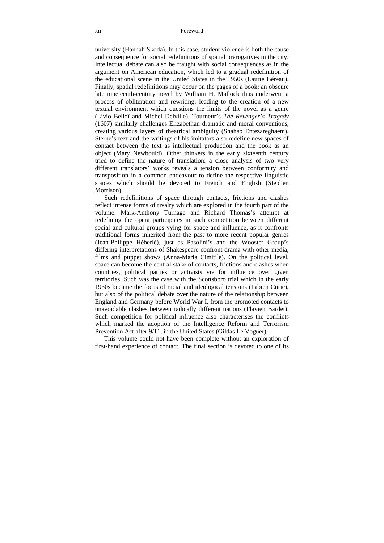university (Hannah Skoda). In this case, student violence is both the cause and consequence for social redefinitions of spatial prerogatives in the city. Intellectual debate can also be fraught with social consequences as in the argument on American education, which led to a gradual redefinition of the educational scene in the United States in the 1950s (Laurie Béreau). Finally, spatial redefinitions may occur on the pages of a book: an obscure late nineteenth-century novel by William H. Mallock thus underwent a process of obliteration and rewriting, leading to the creation of a new textual environment which questions the limits of the novel as a genre (Livio Belloï and Michel Delville). Tourneur's *The Revenger's Tragedy*  (1607) similarly challenges Elizabethan dramatic and moral conventions, creating various layers of theatrical ambiguity (Shahab Entezareghaem). Sterne's text and the writings of his imitators also redefine new spaces of contact between the text as intellectual production and the book as an object (Mary Newbould). Other thinkers in the early sixteenth century tried to define the nature of translation: a close analysis of two very different translators' works reveals a tension between conformity and transposition in a common endeavour to define the respective linguistic spaces which should be devoted to French and English (Stephen Morrison).

Such redefinitions of space through contacts, frictions and clashes reflect intense forms of rivalry which are explored in the fourth part of the volume. Mark-Anthony Turnage and Richard Thomas's attempt at redefining the opera participates in such competition between different social and cultural groups vying for space and influence, as it confronts traditional forms inherited from the past to more recent popular genres (Jean-Philippe Héberlé), just as Pasolini's and the Wooster Group's differing interpretations of Shakespeare confront drama with other media, films and puppet shows (Anna-Maria Cimitile). On the political level, space can become the central stake of contacts, frictions and clashes when countries, political parties or activists vie for influence over given territories. Such was the case with the Scottsboro trial which in the early 1930s became the focus of racial and ideological tensions (Fabien Curie), but also of the political debate over the nature of the relationship between England and Germany before World War I, from the promoted contacts to unavoidable clashes between radically different nations (Flavien Bardet). Such competition for political influence also characterises the conflicts which marked the adoption of the Intelligence Reform and Terrorism Prevention Act after 9/11, in the United States (Gildas Le Voguer).

This volume could not have been complete without an exploration of first-hand experience of contact. The final section is devoted to one of its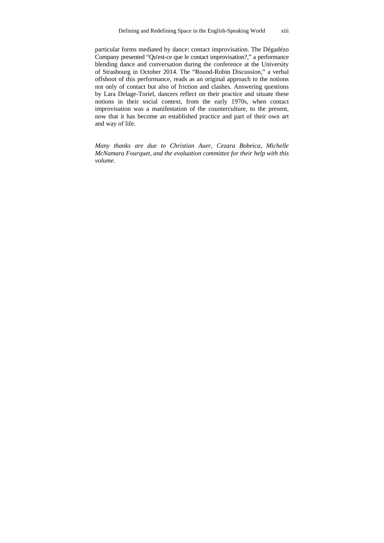particular forms mediated by dance: contact improvisation. The Dégadézo Company presented "Qu'est-ce que le contact improvisation?," a performance blending dance and conversation during the conference at the University of Strasbourg in October 2014. The "Round-Robin Discussion," a verbal offshoot of this performance, reads as an original approach to the notions not only of contact but also of friction and clashes. Answering questions by Lara Delage-Toriel, dancers reflect on their practice and situate these notions in their social context, from the early 1970s, when contact improvisation was a manifestation of the counterculture, to the present, now that it has become an established practice and part of their own art and way of life.

*Many thanks are due to Christian Auer, Cezara Bobeica, Michelle McNamara Fourquet, and the evaluation committee for their help with this volume.*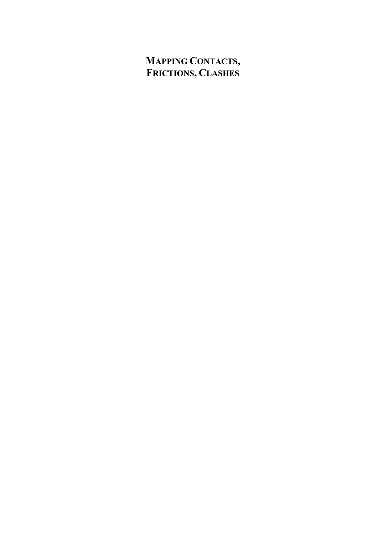## **MAPPING CONTACTS, FRICTIONS, CLASHES**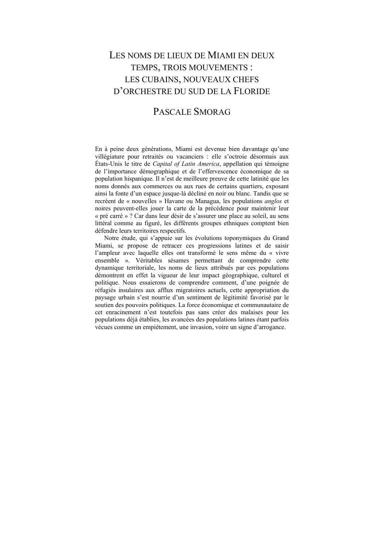## LES NOMS DE LIEUX DE MIAMI EN DEUX TEMPS, TROIS MOUVEMENTS : LES CUBAINS, NOUVEAUX CHEFS D'ORCHESTRE DU SUD DE LA FLORIDE

## PASCALE SMORAG

En à peine deux générations, Miami est devenue bien davantage qu'une villégiature pour retraités ou vacanciers : elle s'octroie désormais aux États-Unis le titre de *Capital of Latin America*, appellation qui témoigne de l'importance démographique et de l'effervescence économique de sa population hispanique. Il n'est de meilleure preuve de cette latinité que les noms donnés aux commerces ou aux rues de certains quartiers, exposant ainsi la fonte d'un espace jusque-là décliné en noir ou blanc. Tandis que se recréent de « nouvelles » Havane ou Managua, les populations *anglos* et noires peuvent-elles jouer la carte de la précédence pour maintenir leur « pré carré » ? Car dans leur désir de s'assurer une place au soleil, au sens littéral comme au figuré, les différents groupes ethniques comptent bien défendre leurs territoires respectifs.

Notre étude, qui s'appuie sur les évolutions toponymiques du Grand Miami, se propose de retracer ces progressions latines et de saisir l'ampleur avec laquelle elles ont transformé le sens même du « vivre ensemble ». Véritables sésames permettant de comprendre cette dynamique territoriale, les noms de lieux attribués par ces populations démontrent en effet la vigueur de leur impact géographique, culturel et politique. Nous essaierons de comprendre comment, d'une poignée de réfugiés insulaires aux afflux migratoires actuels, cette appropriation du paysage urbain s'est nourrie d'un sentiment de légitimité favorisé par le soutien des pouvoirs politiques. La force économique et communautaire de cet enracinement n'est toutefois pas sans créer des malaises pour les populations déjà établies, les avancées des populations latines étant parfois vécues comme un empiétement, une invasion, voire un signe d'arrogance.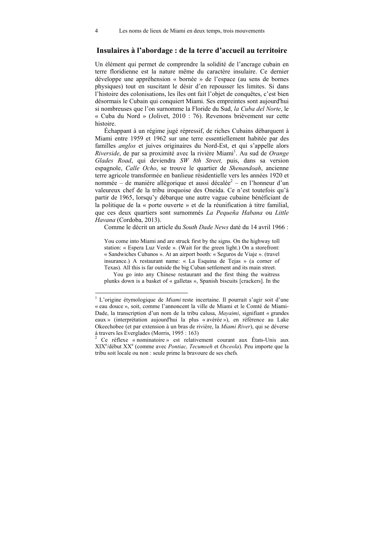### **Insulaires à l'abordage : de la terre d'accueil au territoire**

Un élément qui permet de comprendre la solidité de l'ancrage cubain en terre floridienne est la nature même du caractère insulaire. Ce dernier développe une appréhension « bornée » de l'espace (au sens de bornes physiques) tout en suscitant le désir d'en repousser les limites. Si dans l'histoire des colonisations, les îles ont fait l'objet de conquêtes, c'est bien désormais le Cubain qui conquiert Miami. Ses empreintes sont aujourd'hui si nombreuses que l'on surnomme la Floride du Sud, *la Cuba del Norte*, le « Cuba du Nord » (Jolivet, 2010 : 76). Revenons brièvement sur cette histoire.

Échappant à un régime jugé répressif, de riches Cubains débarquent à Miami entre 1959 et 1962 sur une terre essentiellement habitée par des familles *anglos* et juives originaires du Nord-Est, et qui s'appelle alors Riverside, de par sa proximité avec la rivière Miami<sup>1</sup>. Au sud de Orange *Glades Road*, qui deviendra *SW 8th Street,* puis, dans sa version espagnole, *Calle Ocho*, se trouve le quartier de *Shenandoah*, ancienne terre agricole transformée en banlieue résidentielle vers les années 1920 et nommée – de manière allégorique et aussi décalée<sup>2</sup> – en l'honneur d'un valeureux chef de la tribu iroquoise des Oneida. Ce n'est toutefois qu'à partir de 1965, lorsqu'y débarque une autre vague cubaine bénéficiant de la politique de la « porte ouverte » et de la réunification à titre familial, que ces deux quartiers sont surnommés *La Pequeña Habana* ou *Little Havana* (Cordoba, 2013).

Comme le décrit un article du *South Dade News* daté du 14 avril 1966 :

You come into Miami and are struck first by the signs. On the highway toll station: « Espera Luz Verde ». (Wait for the green light.) On a storefront: « Sandwiches Cubanos ». At an airport booth: « Seguros de Viaje ». (travel insurance.) A restaurant name: « La Esquina de Tejas » (a corner of Texas). All this is far outside the big Cuban settlement and its main street.

You go into any Chinese restaurant and the first thing the waitress plunks down is a basket of « galletas », Spanish biscuits [crackers]. In the

 1 L'origine étymologique de *Miami* reste incertaine. Il pourrait s'agir soit d'une « eau douce », soit, comme l'annoncent la ville de Miami et le Comté de Miami-Dade, la transcription d'un nom de la tribu calusa, *Mayaimi*, signifiant « grandes eaux » (interprétation aujourd'hui la plus « avérée »), en référence au Lake Okeechobee (et par extension à un bras de rivière, la *Miami River*), qui se déverse à travers les Everglades (Morris, 1995 : 163)

<sup>2</sup> Ce réflexe « nominatoire » est relativement courant aux États-Unis aux XIXe /début XXe (comme avec *Pontiac, Tecumseh* et *Osceola*). Peu importe que la tribu soit locale ou non : seule prime la bravoure de ses chefs*.*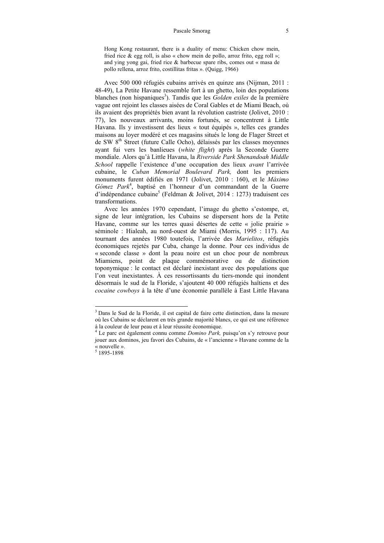#### Pascale Smorag 5

Hong Kong restaurant, there is a duality of menu: Chicken chow mein, fried rice  $\&$  egg roll, is also « chow mein de pollo, arroz frito, egg roll »; and ying yong gai, fried rice & barbecue spare ribs, comes out « masa de pollo rellena, arroz frito, costillitas fritas ». (Quigg, 1966)

Avec 500 000 réfugiés cubains arrivés en quinze ans (Nijman, 2011 : 48-49), La Petite Havane ressemble fort à un ghetto, loin des populations blanches (non hispaniques<sup>3</sup>). Tandis que les *Golden exiles* de la première vague ont rejoint les classes aisées de Coral Gables et de Miami Beach, où ils avaient des propriétés bien avant la révolution castriste (Jolivet, 2010 : 77), les nouveaux arrivants, moins fortunés, se concentrent à Little Havana. Ils y investissent des lieux « tout équipés », telles ces grandes maisons au loyer modéré et ces magasins situés le long de Flager Street et de SW 8<sup>th</sup> Street (future Calle Ocho), délaissés par les classes moyennes ayant fui vers les banlieues (*white flight*) après la Seconde Guerre mondiale. Alors qu'à Little Havana, la *Riverside Park Shenandoah Middle School* rappelle l'existence d'une occupation des lieux *avant* l'arrivée cubaine, le *Cuban Memorial Boulevard Park,* dont les premiers monuments furent édifiés en 1971 (Jolivet, 2010 : 160), et le *Máximo*  Gómez Park<sup>4</sup>, baptisé en l'honneur d'un commandant de la Guerre d'indépendance cubaine<sup>5</sup> (Feldman & Jolivet, 2014 : 1273) traduisent ces transformations.

Avec les années 1970 cependant, l'image du ghetto s'estompe, et, signe de leur intégration, les Cubains se dispersent hors de la Petite Havane, comme sur les terres quasi désertes de cette « jolie prairie » séminole : Hialeah, au nord-ouest de Miami (Morris, 1995 : 117). Au tournant des années 1980 toutefois, l'arrivée des *Marielitos*, réfugiés économiques rejetés par Cuba, change la donne. Pour ces individus de « seconde classe » dont la peau noire est un choc pour de nombreux Miamiens, point de plaque commémorative ou de distinction toponymique : le contact est déclaré inexistant avec des populations que l'on veut inexistantes. À ces ressortissants du tiers-monde qui inondent désormais le sud de la Floride, s'ajoutent 40 000 réfugiés haïtiens et des *cocaine cowboys* à la tête d'une économie parallèle à East Little Havana

 $\overline{a}$ 

<sup>&</sup>lt;sup>3</sup> Dans le Sud de la Floride, il est capital de faire cette distinction, dans la mesure où les Cubains se déclarent en très grande majorité blancs, ce qui est une référence à la couleur de leur peau et à leur réussite économique. 4

Le parc est également connu comme *Domino Park,* puisqu'on s'y retrouve pour jouer aux dominos, jeu favori des Cubains, de « l'ancienne » Havane comme de la « nouvelle ».

<sup>5</sup> 1895-1898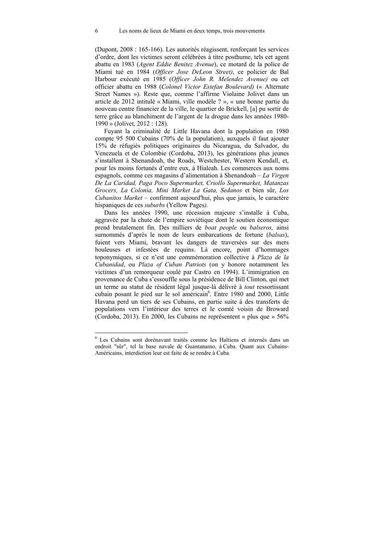(Dupont, 2008 : 165-166). Les autorités réagissent, renforçant les services d'ordre, dont les victimes seront célébrées à titre posthume, tels cet agent abattu en 1983 (*Agent Eddie Benitez Avenue*), ce motard de la police de Miami tué en 1984 (*Officer Jose DeLeon Street)*, ce policier de Bal Harbour exécuté en 1985 (*Officer John R. Melendez Avenue)* ou cet officier abattu en 1988 (*Colonel Victor Estefan Boulevard)* (« Alternate Street Names »). Reste que, comme l'affirme Violaine Jolivet dans un article de 2012 intitulé « Miami, ville modèle ? », « une bonne partie du nouveau centre financier de la ville, le quartier de Brickell, [a] pu sortir de terre grâce au blanchiment de l'argent de la drogue dans les années 1980- 1990 » (Jolivet, 2012 : 128).

Fuyant la criminalité de Little Havana dont la population en 1980 compte 95 500 Cubains (70% de la population), auxquels il faut ajouter 15% de réfugiés politiques originaires du Nicaragua, du Salvador, du Venezuela et de Colombie (Cordoba, 2013), les générations plus jeunes s'installent à Shenandoah, the Roads, Westchester, Western Kendall, et, pour les moins fortunés d'entre eux, à Hialeah. Les commerces aux noms espagnols, comme ces magasins d'alimentation à Shenandoah ‒ *La Virgen De La Caridad, Paga Poco Supermarket, Criollo Supermarket, Matanzas Grocers, La Colonia, Mini Market La Gata, Sedanos* et bien sûr, *Los Cubanitos Market* ‒ confirment aujourd'hui, plus que jamais, le caractère hispaniques de ces *suburbs* (Yellow Pages*).*

Dans les années 1990, une récession majeure s'installe à Cuba, aggravée par la chute de l'empire soviétique dont le soutien économique prend brutalement fin. Des milliers de *boat people* ou *balseros,* ainsi surnommés d'après le nom de leurs embarcations de fortune (*balsas*), fuient vers Miami, bravant les dangers de traversées sur des mers houleuses et infestées de requins. Là encore, point d'hommages toponymiques, si ce n'est une commémoration collective à *Plaza de la Cubanidad*, ou *Plaza of Cuban Patriots* (on y honore notamment les victimes d'un remorqueur coulé par Castro en 1994). L'immigration en provenance de Cuba s'essouffle sous la présidence de Bill Clinton, qui met un terme au statut de résident légal jusque-là délivré à *tout* ressortissant cubain posant le pied sur le sol américain<sup>6</sup>. Entre 1980 and 2000, Little Havana perd un tiers de ses Cubains, en partie suite à des transferts de populations vers l'intérieur des terres et le comté voisin de Broward (Cordoba, 2013). En 2000, les Cubains ne représentent « plus que » 56%

 $\overline{a}$ 

<sup>6</sup> Les Cubains sont dorénavant traités comme les Haïtiens et internés dans un endroit "sûr", tel la base navale de Guantanamo, à Cuba. Quant aux Cubains-Américains, interdiction leur est faite de se rendre à Cuba.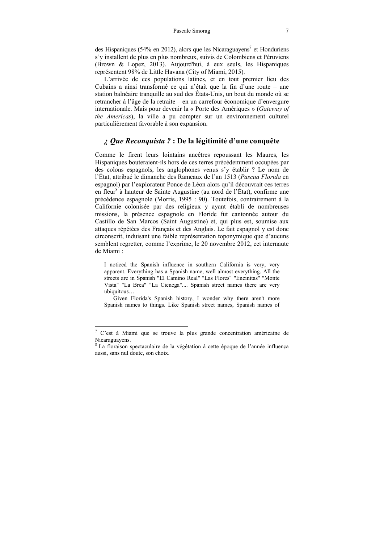des Hispaniques (54% en 2012), alors que les Nicaraguayens<sup>7</sup> et Honduriens s'y installent de plus en plus nombreux, suivis de Colombiens et Péruviens (Brown & Lopez, 2013). Aujourd'hui, à eux seuls, les Hispaniques représentent 98% de Little Havana (City of Miami, 2015).

L'arrivée de ces populations latines, et en tout premier lieu des Cubains a ainsi transformé ce qui n'était que la fin d'une route — une station balnéaire tranquille au sud des États-Unis, un bout du monde où se retrancher à l'âge de la retraite – en un carrefour économique d'envergure internationale. Mais pour devenir la « Porte des Amériques » (*Gateway of the Americas*), la ville a pu compter sur un environnement culturel particulièrement favorable à son expansion.

### *¿ Que Reconquista ?* **: De la légitimité d'une conquête**

Comme le firent leurs lointains ancêtres repoussant les Maures, les Hispaniques bouteraient-ils hors de ces terres précédemment occupées par des colons espagnols, les anglophones venus s'y établir ? Le nom de l'État, attribué le dimanche des Rameaux de l'an 1513 (*Pascua Florida* en espagnol) par l'explorateur Ponce de Léon alors qu'il découvrait ces terres en fleur<sup>8</sup> à hauteur de Sainte Augustine (au nord de l'État), confirme une précédence espagnole (Morris, 1995 : 90). Toutefois, contrairement à la Californie colonisée par des religieux y ayant établi de nombreuses missions, la présence espagnole en Floride fut cantonnée autour du Castillo de San Marcos (Saint Augustine) et, qui plus est, soumise aux attaques répétées des Français et des Anglais. Le fait espagnol y est donc circonscrit, induisant une faible représentation toponymique que d'aucuns semblent regretter, comme l'exprime, le 20 novembre 2012, cet internaute de Miami :

I noticed the Spanish influence in southern California is very, very apparent. Everything has a Spanish name, well almost everything. All the streets are in Spanish "El Camino Real" "Las Flores" "Encinitas" "Monte Vista" "La Brea" "La Cienega".... Spanish street names there are very ubiquitous…

Given Florida's Spanish history, I wonder why there aren't more Spanish names to things. Like Spanish street names, Spanish names of

 $7$  C'est à Miami que se trouve la plus grande concentration américaine de Nicaraguayens.

<sup>&</sup>lt;sup>8</sup> La floraison spectaculaire de la végétation à cette époque de l'année influença aussi, sans nul doute, son choix.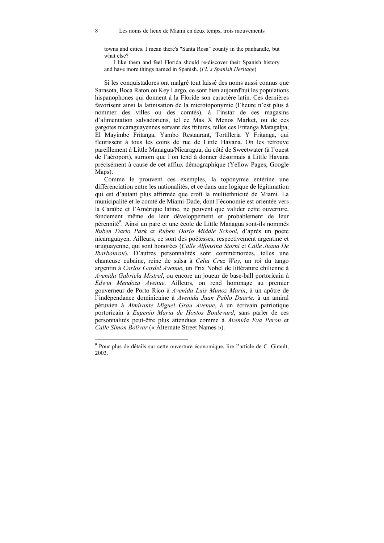towns and cities. I mean there's "Santa Rosa" county in the panhandle, but what else?

I like them and feel Florida should re-discover their Spanish history and have more things named in Spanish. (*FL's Spanish Heritage*)

Si les conquistadores ont malgré tout laissé des noms aussi connus que Sarasota, Boca Raton ou Key Largo, ce sont bien aujourd'hui les populations hispanophones qui donnent à la Floride son caractère latin. Ces dernières favorisent ainsi la latinisation de la microtoponymie (l'heure n'est plus à nommer des villes ou des comtés), à l'instar de ces magasins d'alimentation salvadoriens, tel ce Mas X Menos Market, ou de ces gargotes nicaraguayennes servant des fritures, telles ces Fritanga Matagalpa, El Mayimbe Fritanga, Yambo Restaurant, Tortilleria Y Fritanga, qui fleurissent à tous les coins de rue de Little Havana. On les retrouve pareillement à Little Managua/Nicaragua, du côté de Sweetwater (à l'ouest de l'aéroport), surnom que l'on tend à donner désormais à Little Havana précisément à cause de cet afflux démographique (Yellow Pages, Google Maps).

Comme le prouvent ces exemples, la toponymie entérine une différenciation entre les nationalités, et ce dans une logique de légitimation qui est d'autant plus affirmée que croît la multiethnicité de Miami. La municipalité et le comté de Miami-Dade, dont l'économie est orientée vers la Caraïbe et l'Amérique latine, ne peuvent que valider cette ouverture, fondement même de leur développement et probablement de leur pérennité<sup>9</sup>. Ainsi un parc et une école de Little Managua sont-ils nommés *Ruben Dario Park* et *Ruben Dario Middle School,* d'après un poète nicaraguayen. Ailleurs, ce sont des poétesses, respectivement argentine et uruguayenne, qui sont honorées (*Calle Alfonsina Storni* et *Calle Juana De Ibarbourou*). D'autres personnalités sont commémorées, telles une chanteuse cubaine, reine de salsa à *Celia Cruz Way,* un roi du tango argentin à *Carlos Gardel Avenue*, un Prix Nobel de littérature chilienne à *Avenida Gabriela Mistral*, ou encore un joueur de base-ball portoricain à *Edwin Mendoza Avenue*. Ailleurs, on rend hommage au premier gouverneur de Porto Rico à *Avenida Luis Munoz Marin*, à un apôtre de l'indépendance dominicaine à *Avenida Juan Pablo Duarte,* à un amiral péruvien à *Almirante Miguel Grau Avenue*, à un écrivain patriotique portoricain à *Eugenio Maria de Hostos Boulevard*, sans parler de ces personnalités peut-être plus attendues comme à *Avenida Eva Peron* et *Calle Simon Bolivar* (« Alternate Street Names »).

 9 Pour plus de détails sur cette ouverture économique, lire l'article de C. Girault, 2003.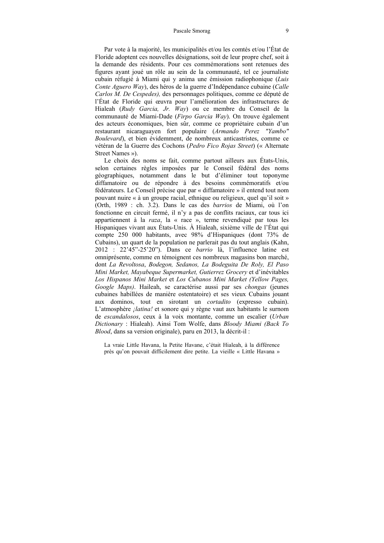Par vote à la majorité, les municipalités et/ou les comtés et/ou l'État de Floride adoptent ces nouvelles désignations, soit de leur propre chef, soit à la demande des résidents. Pour ces commémorations sont retenues des figures ayant joué un rôle au sein de la communauté, tel ce journaliste cubain réfugié à Miami qui y anima une émission radiophonique (*Luis Conte Aguero Way*), des héros de la guerre d'Indépendance cubaine (*Calle Carlos M. De Cespedes),* des personnages politiques, comme ce député de l'État de Floride qui œuvra pour l'amélioration des infrastructures de Hialeah (*Rudy Garcia, Jr. Way*) ou ce membre du Conseil de la communauté de Miami-Dade (*Firpo Garcia Way*). On trouve également des acteurs économiques, bien sûr, comme ce propriétaire cubain d'un restaurant nicaraguayen fort populaire (*Armando Perez "Yambo" Boulevard*), et bien évidemment, de nombreux anticastristes, comme ce vétéran de la Guerre des Cochons (*Pedro Fico Rojas Street*) (« Alternate Street Names »).

Le choix des noms se fait, comme partout ailleurs aux États-Unis, selon certaines règles imposées par le Conseil fédéral des noms géographiques, notamment dans le but d'éliminer tout toponyme diffamatoire ou de répondre à des besoins commémoratifs et/ou fédérateurs. Le Conseil précise que par « diffamatoire » il entend tout nom pouvant nuire « à un groupe racial, ethnique ou religieux, quel qu'il soit » (Orth, 1989 : ch. 3.2). Dans le cas des *barrios* de Miami, où l'on fonctionne en circuit fermé, il n'y a pas de conflits raciaux, car tous ici appartiennent à la *raza*, la « race », terme revendiqué par tous les Hispaniques vivant aux États-Unis. À Hialeah, sixième ville de l'État qui compte 250 000 habitants, avec 98% d'Hispaniques (dont 73% de Cubains), un quart de la population ne parlerait pas du tout anglais (Kahn, 2012 : 22'45"-25'20"). Dans ce *barrio* là, l'influence latine est omniprésente, comme en témoignent ces nombreux magasins bon marché, dont *La Revoltosa*, *Bodegon, Sedanos, La Bodeguita De Roly, El Paso Mini Market, Mayabeque Supermarket, Gutierrez Grocery* et d'inévitables *Los Hispanos Mini Market* et *Los Cubanos Mini Market (Yellow Pages, Google Maps)*. Haileah, se caractérise aussi par ses *chongas* (jeunes cubaines habillées de manière ostentatoire) et ses vieux Cubains jouant aux dominos, tout en sirotant un *cortadito* (expresso cubain). L'atmosphère *¡latina!* et sonore qui y règne vaut aux habitants le surnom de *escandalosos*, ceux à la voix montante, comme un escalier (*Urban Dictionary* : Hialeah). Ainsi Tom Wolfe, dans *Bloody Miami (Back To Blood*, dans sa version originale), paru en 2013, la décrit-il :

La vraie Little Havana, la Petite Havane, c'était Hialeah, à la différence près qu'on pouvait difficilement dire petite. La vieille « Little Havana »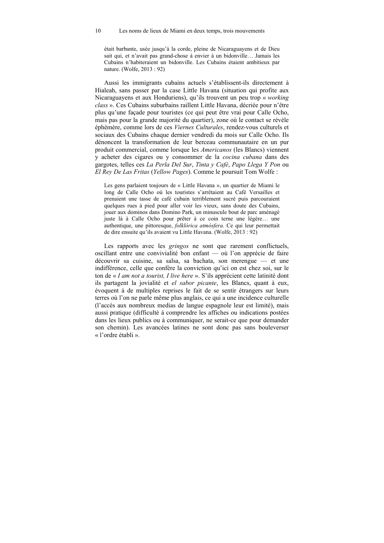#### 10 Les noms de lieux de Miami en deux temps, trois mouvements

était barbante, usée jusqu'à la corde, pleine de Nicaraguayens et de Dieu sait qui, et n'avait pas grand-chose à envier à un bidonville… Jamais les Cubains n'habiteraient un bidonville. Les Cubains étaient ambitieux par nature. (Wolfe, 2013 : 92)

Aussi les immigrants cubains actuels s'établissent-ils directement à Hialeah, sans passer par la case Little Havana (situation qui profite aux Nicaraguayens et aux Honduriens), qu'ils trouvent un peu trop « *working class* ». Ces Cubains suburbains raillent Little Havana, décriée pour n'être plus qu'une façade pour touristes (ce qui peut être vrai pour Calle Ocho, mais pas pour la grande majorité du quartier), zone où le contact se révèle éphémère, comme lors de ces *Viernes Culturales*, rendez-vous culturels et sociaux des Cubains chaque dernier vendredi du mois sur Calle Ocho. Ils dénoncent la transformation de leur berceau communautaire en un pur produit commercial, comme lorsque les *Americanos* (les Blancs) viennent y acheter des cigares ou y consommer de la *cocina cubana* dans des gargotes, telles ces *La Perla Del Sur*, *Tinta y Café*, *Papo Llega Y Pon* ou *El Rey De Las Fritas* (*Yellow Pages*). Comme le poursuit Tom Wolfe :

Les gens parlaient toujours de « Little Havana », un quartier de Miami le long de Calle Ocho où les touristes s'arrêtaient au Café Versailles et prenaient une tasse de café cubain terriblement sucré puis parcouraient quelques rues à pied pour aller voir les vieux, sans doute des Cubains, jouer aux dominos dans Domino Park, un minuscule bout de parc aménagé juste là à Calle Ocho pour prêter à ce coin terne une légère… une authentique, une pittoresque, *folklórica atmósfera*. Ce qui leur permettait de dire ensuite qu'ils avaient vu Little Havana. (Wolfe, 2013 : 92)

Les rapports avec les *gringos* ne sont que rarement conflictuels, oscillant entre une convivialité bon enfant — où l'on apprécie de faire découvrir sa cuisine, sa salsa, sa bachata, son merengue — et une indifférence, celle que confère la conviction qu'ici on est chez soi, sur le ton de « *I am not a tourist, I live here* ». S'ils apprécient cette latinité dont ils partagent la jovialité et *el sabor picante*, les Blancs, quant à eux, évoquent à de multiples reprises le fait de se sentir étrangers sur leurs terres où l'on ne parle même plus anglais, ce qui a une incidence culturelle (l'accès aux nombreux medias de langue espagnole leur est limité), mais aussi pratique (difficulté à comprendre les affiches ou indications postées dans les lieux publics ou à communiquer, ne serait-ce que pour demander son chemin). Les avancées latines ne sont donc pas sans bouleverser « l'ordre établi ».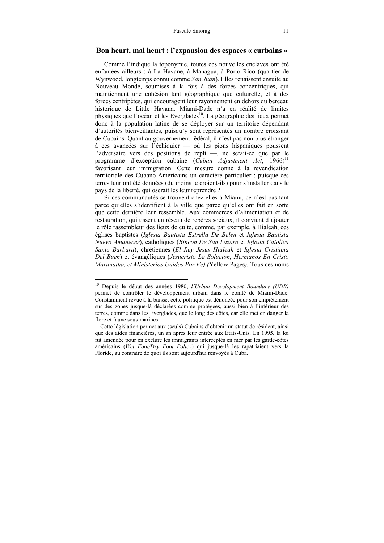#### **Bon heurt, mal heurt : l'expansion des espaces « curbains »**

Comme l'indique la toponymie, toutes ces nouvelles enclaves ont été enfantées ailleurs : à La Havane, à Managua, à Porto Rico (quartier de Wynwood, longtemps connu comme *San Juan*). Elles renaissent ensuite au Nouveau Monde, soumises à la fois à des forces concentriques, qui maintiennent une cohésion tant géographique que culturelle, et à des forces centripètes, qui encouragent leur rayonnement en dehors du berceau historique de Little Havana. Miami-Dade n'a en réalité de limites physiques que l'océan et les Everglades<sup>10</sup>. La géographie des lieux permet donc à la population latine de se déployer sur un territoire dépendant d'autorités bienveillantes, puisqu'y sont représentés un nombre croissant de Cubains. Quant au gouvernement fédéral, il n'est pas non plus étranger à ces avancées sur l'échiquier — où les pions hispaniques poussent l'adversaire vers des positions de repli —, ne serait-ce que par le programme d'exception cubaine (*Cuban Adjustment Act*, 1966)<sup>11</sup> favorisant leur immigration. Cette mesure donne à la revendication territoriale des Cubano-Américains un caractère particulier : puisque ces terres leur ont été données (du moins le croient-ils) pour s'installer dans le pays de la liberté, qui oserait les leur reprendre ?

Si ces communautés se trouvent chez elles à Miami, ce n'est pas tant parce qu'elles s'identifient à la ville que parce qu'elles ont fait en sorte que cette dernière leur ressemble. Aux commerces d'alimentation et de restauration, qui tissent un réseau de repères sociaux, il convient d'ajouter le rôle rassembleur des lieux de culte, comme, par exemple, à Hialeah, ces églises baptistes (*Iglesia Bautista Estrella De Belen* et *Iglesia Bautista Nuevo Amanecer*), catholiques (*Rincon De San Lazaro* et *Iglesia Catolica Santa Barbara*), chrétiennes (*El Rey Jesus Hialeah* et *Iglesia Cristiana Del Buen*) et évangéliques (*Jesucristo La Solucion, Hermanos En Cristo Maranatha, et Ministerios Unidos Por Fe) (*Yellow Pages*).* Tous ces noms

 $\overline{a}$ 

<sup>10</sup> Depuis le début des années 1980, *l'Urban Development Boundary (UDB)* permet de contrôler le développement urbain dans le comté de Miami-Dade. Constamment revue à la baisse, cette politique est dénoncée pour son empiétement sur des zones jusque-là déclarées comme protégées, aussi bien à l'intérieur des terres, comme dans les Everglades, que le long des côtes, car elle met en danger la flore et faune sous-marines.

 $11$  Cette législation permet aux (seuls) Cubains d'obtenir un statut de résident, ainsi que des aides financières, un an après leur entrée aux États-Unis. En 1995, la loi fut amendée pour en exclure les immigrants interceptés en mer par les garde-côtes américains (*Wet Foot/Dry Foot Policy*) qui jusque-là les rapatriaient vers la Floride, au contraire de quoi ils sont aujourd'hui renvoyés à Cuba.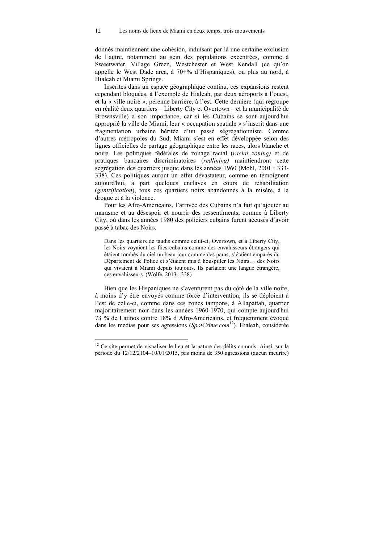donnés maintiennent une cohésion, induisant par là une certaine exclusion de l'autre, notamment au sein des populations excentrées, comme à Sweetwater, Village Green, Westchester et West Kendall (ce qu'on appelle le West Dade area, à 70+% d'Hispaniques), ou plus au nord, à Hialeah et Miami Springs.

Inscrites dans un espace géographique continu, ces expansions restent cependant bloquées, à l'exemple de Hialeah, par deux aéroports à l'ouest, et la « ville noire », pérenne barrière, à l'est. Cette dernière (qui regroupe en réalité deux quartiers – Liberty City et Overtown – et la municipalité de Brownsville) a son importance, car si les Cubains se sont aujourd'hui approprié la ville de Miami, leur « occupation spatiale » s'inscrit dans une fragmentation urbaine héritée d'un passé ségrégationniste. Comme d'autres métropoles du Sud, Miami s'est en effet développée selon des lignes officielles de partage géographique entre les races, alors blanche et noire. Les politiques fédérales de zonage racial (*racial zoning)* et de pratiques bancaires discriminatoires (*redlining)* maintiendront cette ségrégation des quartiers jusque dans les années 1960 (Mohl, 2001 : 333- 338). Ces politiques auront un effet dévastateur, comme en témoignent aujourd'hui, à part quelques enclaves en cours de réhabilitation (*gentrification*), tous ces quartiers noirs abandonnés à la misère, à la drogue et à la violence.

Pour les Afro-Américains, l'arrivée des Cubains n'a fait qu'ajouter au marasme et au désespoir et nourrir des ressentiments, comme à Liberty City, où dans les années 1980 des policiers cubains furent accusés d'avoir passé à tabac des Noirs.

Dans les quartiers de taudis comme celui-ci, Overtown, et à Liberty City, les Noirs voyaient les flics cubains comme des envahisseurs étrangers qui étaient tombés du ciel un beau jour comme des paras, s'étaient emparés du Département de Police et s'étaient mis à houspiller les Noirs… des Noirs qui vivaient à Miami depuis toujours. Ils parlaient une langue étrangère, ces envahisseurs. (Wolfe, 2013 : 338)

Bien que les Hispaniques ne s'aventurent pas du côté de la ville noire, à moins d'y être envoyés comme force d'intervention, ils se déploient à l'est de celle-ci, comme dans ces zones tampons, à Allapattah, quartier majoritairement noir dans les années 1960-1970, qui compte aujourd'hui 73 % de Latinos contre 18% d'Afro-Américains, et fréquemment évoqué dans les medias pour ses agressions (*SpotCrime.com*12). Hialeah, considérée

 $12$  Ce site permet de visualiser le lieu et la nature des délits commis. Ainsi, sur la période du 12/12/2104–10/01/2015, pas moins de 350 agressions (aucun meurtre)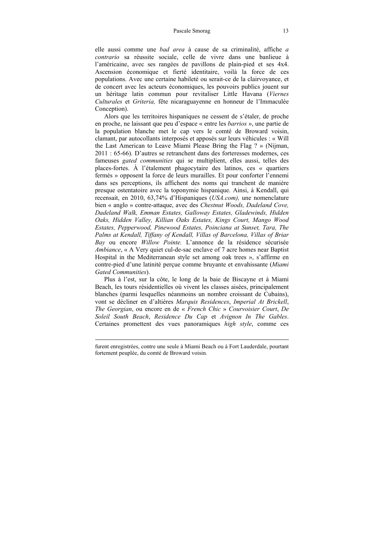#### Pascale Smorag 13

elle aussi comme une *bad area* à cause de sa criminalité, affiche *a contrario* sa réussite sociale, celle de vivre dans une banlieue à l'américaine, avec ses rangées de pavillons de plain-pied et ses 4x4. Ascension économique et fierté identitaire, voilà la force de ces populations. Avec une certaine habileté ou serait-ce de la clairvoyance, et de concert avec les acteurs économiques, les pouvoirs publics jouent sur un héritage latin commun pour revitaliser Little Havana (*Viernes Culturales* et *Griteria,* fête nicaraguayenne en honneur de l'Immaculée Conception).

Alors que les territoires hispaniques ne cessent de s'étaler, de proche en proche, ne laissant que peu d'espace « entre les *barrios* », une partie de la population blanche met le cap vers le comté de Broward voisin, clamant, par autocollants interposés et apposés sur leurs véhicules : « Will the Last American to Leave Miami Please Bring the Flag ? » (Nijman, 2011 : 65-66). D'autres se retranchent dans des forteresses modernes, ces fameuses *gated communities* qui se multiplient, elles aussi, telles des places-fortes. À l'étalement phagocytaire des latinos, ces « quartiers fermés » opposent la force de leurs murailles. Et pour conforter l'ennemi dans ses perceptions, ils affichent des noms qui tranchent de manière presque ostentatoire avec la toponymie hispanique. Ainsi, à Kendall, qui recensait, en 2010, 63,74% d'Hispaniques (*USA.com),* une nomenclature bien « anglo » contre-attaque, avec des *Chestnut Woods, Dadeland Cove, Dadeland Walk, Emman Estates, Galloway Estates, Gladewinds, Hidden Oaks, Hidden Valley, Killian Oaks Estates, Kings Court, Mango Wood Estates, Pepperwood, Pinewood Estates, Poinciana at Sunset, Tara, The Palms at Kendall, Tiffany of Kendall, Villas of Barcelona, Villas of Briar Bay* ou encore *Willow Pointe.* L'annonce de la résidence sécurisée *Ambiance*, « A Very quiet cul-de-sac enclave of 7 acre homes near Baptist Hospital in the Mediterranean style set among oak trees », s'affirme en contre-pied d'une latinité perçue comme bruyante et envahissante (*Miami Gated Communities*).

Plus à l'est, sur la côte, le long de la baie de Biscayne et à Miami Beach, les tours résidentielles où vivent les classes aisées, principalement blanches (parmi lesquelles néanmoins un nombre croissant de Cubains), vont se décliner en d'altières *Marquis Residences*, *Imperial At Brickell*, *The Georgian*, ou encore en de « *French Chic* » *Courvoisier Court*, *De Soleil South Beach*, *Residence Du Cap* et *Avignon In The Gables*. Certaines promettent des vues panoramiques *high style*, comme ces

furent enregistrées, contre une seule à Miami Beach ou à Fort Lauderdale, pourtant fortement peuplée, du comté de Broward voisin.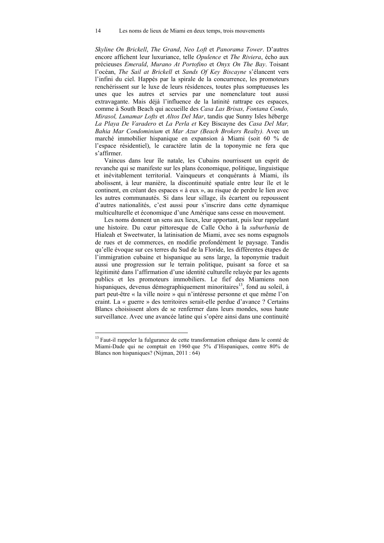*Skyline On Brickell*, *The Grand*, *Neo Loft* et *Panorama Tower*. D'autres encore affichent leur luxuriance, telle *Opulence* et *The Riviera*, écho aux précieuses *Emerald*, *Murano At Portofino* et *Onyx On The Bay*. Toisant l'océan, *The Sail at Brickell* et *Sands Of Key Biscayne* s'élancent vers l'infini du ciel. Happés par la spirale de la concurrence, les promoteurs renchérissent sur le luxe de leurs résidences, toutes plus somptueuses les unes que les autres et servies par une nomenclature tout aussi extravagante. Mais déjà l'influence de la latinité rattrape ces espaces, comme à South Beach qui accueille des *Casa Las Brisas, Fontana Condo, Mirasol, Lunamar Lofts* et *Altos Del Mar*, tandis que Sunny Isles héberge *La Playa De Varadero* et *La Perla et* Key Biscayne des *Casa Del Mar, Bahia Mar Condominium* et *Mar Azur (Beach Brokers Realty).* Avec un marché immobilier hispanique en expansion à Miami (soit 60 % de l'espace résidentiel), le caractère latin de la toponymie ne fera que s'affirmer.

Vaincus dans leur île natale, les Cubains nourrissent un esprit de revanche qui se manifeste sur les plans économique, politique, linguistique et inévitablement territorial. Vainqueurs et conquérants à Miami, ils abolissent, à leur manière, la discontinuité spatiale entre leur île et le continent, en créant des espaces « à eux », au risque de perdre le lien avec les autres communautés. Si dans leur sillage, ils écartent ou repoussent d'autres nationalités, c'est aussi pour s'inscrire dans cette dynamique multiculturelle et économique d'une Amérique sans cesse en mouvement.

Les noms donnent un sens aux lieux, leur apportant, puis leur rappelant une histoire. Du cœur pittoresque de Calle Ocho à la *suburbanía* de Hialeah et Sweetwater, la latinisation de Miami, avec ses noms espagnols de rues et de commerces, en modifie profondément le paysage. Tandis qu'elle évoque sur ces terres du Sud de la Floride, les différentes étapes de l'immigration cubaine et hispanique au sens large, la toponymie traduit aussi une progression sur le terrain politique, puisant sa force et sa légitimité dans l'affirmation d'une identité culturelle relayée par les agents publics et les promoteurs immobiliers. Le fief des Miamiens non hispaniques, devenus démographiquement minoritaires<sup>13</sup>, fond au soleil, à part peut-être « la ville noire » qui n'intéresse personne et que même l'on craint. La « guerre » des territoires serait-elle perdue d'avance ? Certains Blancs choisissent alors de se renfermer dans leurs mondes, sous haute surveillance. Avec une avancée latine qui s'opère ainsi dans une continuité

<sup>&</sup>lt;sup>13</sup> Faut-il rappeler la fulgurance de cette transformation ethnique dans le comté de Miami-Dade qui ne comptait en 1960 que 5% d'Hispaniques, contre 80% de Blancs non hispaniques? (Nijman, 2011 : 64)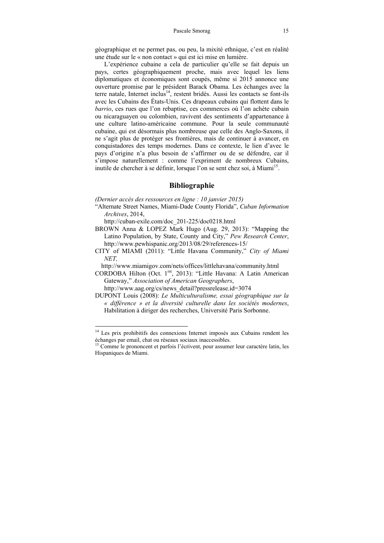géographique et ne permet pas, ou peu, la mixité ethnique, c'est en réalité une étude sur le « non contact » qui est ici mise en lumière.

L'expérience cubaine a cela de particulier qu'elle se fait depuis un pays, certes géographiquement proche, mais avec lequel les liens diplomatiques et économiques sont coupés, même si 2015 annonce une ouverture promise par le président Barack Obama. Les échanges avec la terre natale, Internet inclus<sup>14</sup>, restent bridés. Aussi les contacts se font-ils avec les Cubains des États-Unis. Ces drapeaux cubains qui flottent dans le *barrio*, ces rues que l'on rebaptise, ces commerces où l'on achète cubain ou nicaraguayen ou colombien, ravivent des sentiments d'appartenance à une culture latino-américaine commune. Pour la seule communauté cubaine, qui est désormais plus nombreuse que celle des Anglo-Saxons, il ne s'agit plus de protéger ses frontières, mais de continuer à avancer, en conquistadores des temps modernes. Dans ce contexte, le lien d'avec le pays d'origine n'a plus besoin de s'affirmer ou de se défendre, car il s'impose naturellement : comme l'expriment de nombreux Cubains, inutile de chercher à se définir, lorsque l'on se sent chez soi, à Miami<sup>15</sup>.

### **Bibliographie**

*(Dernier accès des ressources en ligne : 10 janvier 2015)* 

"Alternate Street Names, Miami-Dade County Florida", *Cuban Information Archives*, 2014,

http://cuban-exile.com/doc\_201-225/doc0218.html

 $\overline{\phantom{a}}$ 

- BROWN Anna & LOPEZ Mark Hugo (Aug. 29, 2013): "Mapping the Latino Population, by State, County and City," *Pew Research Center*, http://www.pewhispanic.org/2013/08/29/references-15/
- CITY of MIAMI (2011): "Little Havana Community," *City of Miami NET,*

http://www.miamigov.com/nets/offices/littlehavana/community.html

CORDOBA Hilton (Oct. 1<sup>rst</sup>, 2013): "Little Havana: A Latin American Gateway," *Association of American Geographers*, http://www.aag.org/cs/news\_detail?pressrelease.id=3074

DUPONT Louis (2008): *Le Multiculturalisme, essai géographique sur la « différence » et la diversité culturelle dans les sociétés modernes*, Habilitation à diriger des recherches, Université Paris Sorbonne.

<sup>&</sup>lt;sup>14</sup> Les prix prohibitifs des connexions Internet imposés aux Cubains rendent les échanges par email, chat ou réseaux sociaux inaccessibles.

<sup>&</sup>lt;sup>15</sup> Comme le prononcent et parfois l'écrivent, pour assumer leur caractère latin, les Hispaniques de Miami.